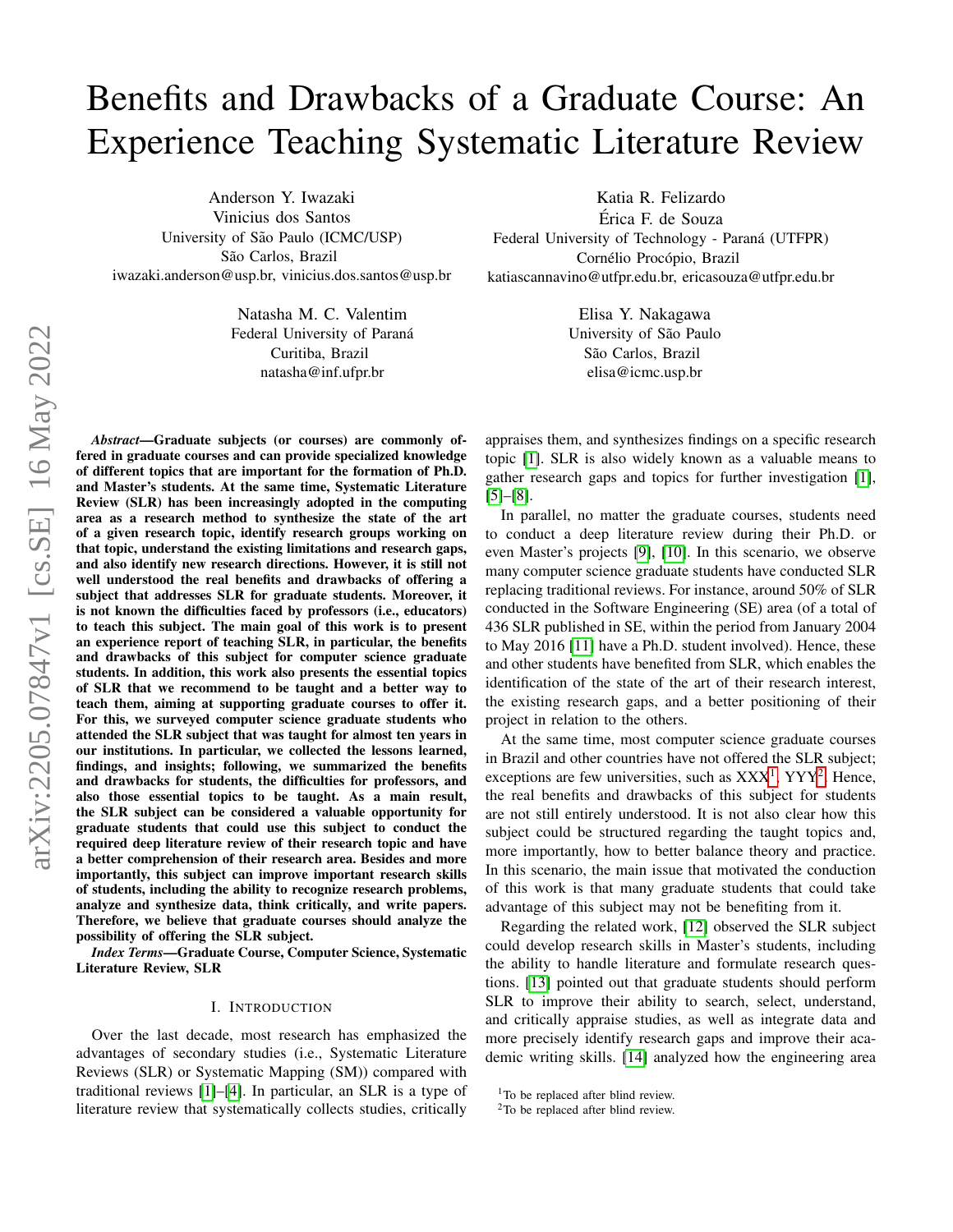# Benefits and Drawbacks of a Graduate Course: An Experience Teaching Systematic Literature Review

Anderson Y. Iwazaki Vinicius dos Santos University of São Paulo (ICMC/USP) São Carlos, Brazil iwazaki.anderson@usp.br, vinicius.dos.santos@usp.br

> Natasha M. C. Valentim Federal University of Paraná Curitiba, Brazil natasha@inf.ufpr.br

*Abstract*—Graduate subjects (or courses) are commonly offered in graduate courses and can provide specialized knowledge of different topics that are important for the formation of Ph.D. and Master's students. At the same time, Systematic Literature Review (SLR) has been increasingly adopted in the computing area as a research method to synthesize the state of the art of a given research topic, identify research groups working on that topic, understand the existing limitations and research gaps, and also identify new research directions. However, it is still not well understood the real benefits and drawbacks of offering a subject that addresses SLR for graduate students. Moreover, it is not known the difficulties faced by professors (i.e., educators) to teach this subject. The main goal of this work is to present an experience report of teaching SLR, in particular, the benefits and drawbacks of this subject for computer science graduate students. In addition, this work also presents the essential topics of SLR that we recommend to be taught and a better way to teach them, aiming at supporting graduate courses to offer it. For this, we surveyed computer science graduate students who attended the SLR subject that was taught for almost ten years in our institutions. In particular, we collected the lessons learned, findings, and insights; following, we summarized the benefits and drawbacks for students, the difficulties for professors, and also those essential topics to be taught. As a main result, the SLR subject can be considered a valuable opportunity for graduate students that could use this subject to conduct the required deep literature review of their research topic and have a better comprehension of their research area. Besides and more importantly, this subject can improve important research skills of students, including the ability to recognize research problems, analyze and synthesize data, think critically, and write papers. Therefore, we believe that graduate courses should analyze the possibility of offering the SLR subject.

*Index Terms*—Graduate Course, Computer Science, Systematic Literature Review, SLR

#### I. INTRODUCTION

Over the last decade, most research has emphasized the advantages of secondary studies (i.e., Systematic Literature Reviews (SLR) or Systematic Mapping (SM)) compared with traditional reviews [\[1\]](#page-7-0)–[\[4\]](#page-7-1). In particular, an SLR is a type of literature review that systematically collects studies, critically

Katia R. Felizardo Erica F. de Souza ´ Federal University of Technology - Paraná (UTFPR) Cornélio Procópio, Brazil katiascannavino@utfpr.edu.br, ericasouza@utfpr.edu.br

> Elisa Y. Nakagawa University of São Paulo São Carlos, Brazil elisa@icmc.usp.br

appraises them, and synthesizes findings on a specific research topic [\[1\]](#page-7-0). SLR is also widely known as a valuable means to gather research gaps and topics for further investigation [\[1\]](#page-7-0), [\[5\]](#page-7-2)–[\[8\]](#page-7-3).

In parallel, no matter the graduate courses, students need to conduct a deep literature review during their Ph.D. or even Master's projects [\[9\]](#page-7-4), [\[10\]](#page-8-0). In this scenario, we observe many computer science graduate students have conducted SLR replacing traditional reviews. For instance, around 50% of SLR conducted in the Software Engineering (SE) area (of a total of 436 SLR published in SE, within the period from January 2004 to May 2016 [\[11\]](#page-8-1) have a Ph.D. student involved). Hence, these and other students have benefited from SLR, which enables the identification of the state of the art of their research interest, the existing research gaps, and a better positioning of their project in relation to the others.

At the same time, most computer science graduate courses in Brazil and other countries have not offered the SLR subject; exceptions are few universities, such as  $XXX<sup>1</sup>$  $XXX<sup>1</sup>$  $XXX<sup>1</sup>$ , YYY<sup>[2](#page-0-1)</sup>. Hence, the real benefits and drawbacks of this subject for students are not still entirely understood. It is not also clear how this subject could be structured regarding the taught topics and, more importantly, how to better balance theory and practice. In this scenario, the main issue that motivated the conduction of this work is that many graduate students that could take advantage of this subject may not be benefiting from it.

Regarding the related work, [\[12\]](#page-8-2) observed the SLR subject could develop research skills in Master's students, including the ability to handle literature and formulate research questions. [\[13\]](#page-8-3) pointed out that graduate students should perform SLR to improve their ability to search, select, understand, and critically appraise studies, as well as integrate data and more precisely identify research gaps and improve their academic writing skills. [\[14\]](#page-8-4) analyzed how the engineering area

<span id="page-0-0"></span><sup>&</sup>lt;sup>1</sup>To be replaced after blind review.

<span id="page-0-1"></span><sup>&</sup>lt;sup>2</sup>To be replaced after blind review.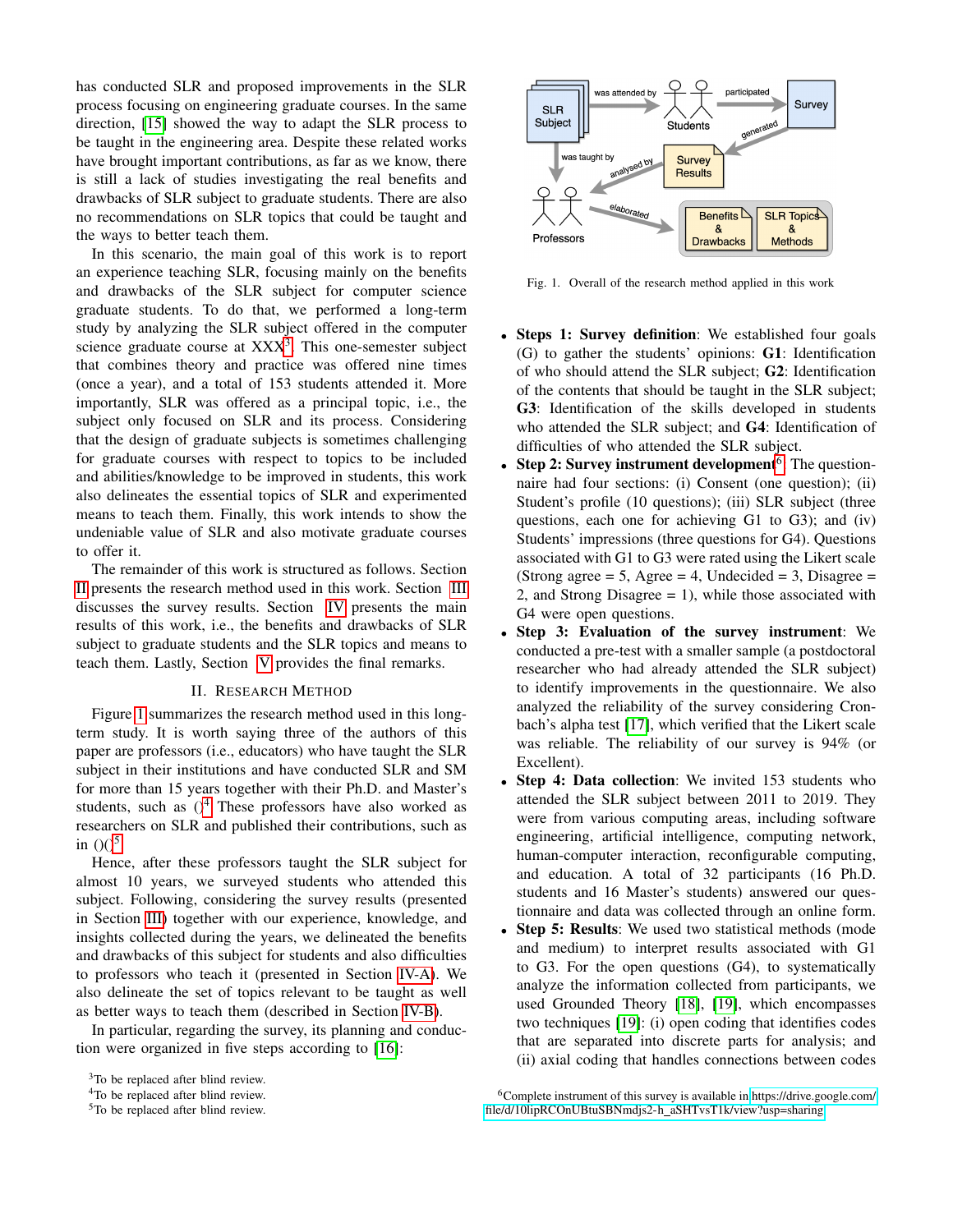has conducted SLR and proposed improvements in the SLR process focusing on engineering graduate courses. In the same direction, [\[15\]](#page-8-5) showed the way to adapt the SLR process to be taught in the engineering area. Despite these related works have brought important contributions, as far as we know, there is still a lack of studies investigating the real benefits and drawbacks of SLR subject to graduate students. There are also no recommendations on SLR topics that could be taught and the ways to better teach them.

In this scenario, the main goal of this work is to report an experience teaching SLR, focusing mainly on the benefits and drawbacks of the SLR subject for computer science graduate students. To do that, we performed a long-term study by analyzing the SLR subject offered in the computer science graduate course at  $XXX<sup>3</sup>$  $XXX<sup>3</sup>$  $XXX<sup>3</sup>$ . This one-semester subject that combines theory and practice was offered nine times (once a year), and a total of 153 students attended it. More importantly, SLR was offered as a principal topic, i.e., the subject only focused on SLR and its process. Considering that the design of graduate subjects is sometimes challenging for graduate courses with respect to topics to be included and abilities/knowledge to be improved in students, this work also delineates the essential topics of SLR and experimented means to teach them. Finally, this work intends to show the undeniable value of SLR and also motivate graduate courses to offer it.

The remainder of this work is structured as follows. Section [II](#page-1-1) presents the research method used in this work. Section [III](#page-2-0) discusses the survey results. Section [IV](#page-3-0) presents the main results of this work, i.e., the benefits and drawbacks of SLR subject to graduate students and the SLR topics and means to teach them. Lastly, Section [V](#page-7-5) provides the final remarks.

### II. RESEARCH METHOD

<span id="page-1-1"></span>Figure [1](#page-1-2) summarizes the research method used in this longterm study. It is worth saying three of the authors of this paper are professors (i.e., educators) who have taught the SLR subject in their institutions and have conducted SLR and SM for more than 15 years together with their Ph.D. and Master's students, such as  $()^4$  $()^4$  These professors have also worked as researchers on SLR and published their contributions, such as in  $(0)^5$  $(0)^5$ .

Hence, after these professors taught the SLR subject for almost 10 years, we surveyed students who attended this subject. Following, considering the survey results (presented in Section [III\)](#page-2-0) together with our experience, knowledge, and insights collected during the years, we delineated the benefits and drawbacks of this subject for students and also difficulties to professors who teach it (presented in Section [IV-A\)](#page-3-1). We also delineate the set of topics relevant to be taught as well as better ways to teach them (described in Section [IV-B\)](#page-6-0).

In particular, regarding the survey, its planning and conduction were organized in five steps according to [\[16\]](#page-8-6):



<span id="page-1-2"></span>Fig. 1. Overall of the research method applied in this work

- Steps 1: Survey definition: We established four goals (G) to gather the students' opinions: G1: Identification of who should attend the SLR subject; G2: Identification of the contents that should be taught in the SLR subject; G3: Identification of the skills developed in students who attended the SLR subject; and G4: Identification of difficulties of who attended the SLR subject.
- Step 2: Survey instrument development<sup>[6](#page-1-5)</sup>: The questionnaire had four sections: (i) Consent (one question); (ii) Student's profile (10 questions); (iii) SLR subject (three questions, each one for achieving G1 to G3); and (iv) Students' impressions (three questions for G4). Questions associated with G1 to G3 were rated using the Likert scale (Strong agree  $= 5$ , Agree  $= 4$ , Undecided  $= 3$ , Disagree  $=$ 2, and Strong Disagree = 1), while those associated with G4 were open questions.
- Step 3: Evaluation of the survey instrument: We conducted a pre-test with a smaller sample (a postdoctoral researcher who had already attended the SLR subject) to identify improvements in the questionnaire. We also analyzed the reliability of the survey considering Cronbach's alpha test [\[17\]](#page-8-7), which verified that the Likert scale was reliable. The reliability of our survey is 94% (or Excellent).
- Step 4: Data collection: We invited 153 students who attended the SLR subject between 2011 to 2019. They were from various computing areas, including software engineering, artificial intelligence, computing network, human-computer interaction, reconfigurable computing, and education. A total of 32 participants (16 Ph.D. students and 16 Master's students) answered our questionnaire and data was collected through an online form.
- Step 5: Results: We used two statistical methods (mode and medium) to interpret results associated with G1 to G3. For the open questions (G4), to systematically analyze the information collected from participants, we used Grounded Theory [\[18\]](#page-8-8), [\[19\]](#page-8-9), which encompasses two techniques [\[19\]](#page-8-9): (i) open coding that identifies codes that are separated into discrete parts for analysis; and (ii) axial coding that handles connections between codes

<span id="page-1-0"></span><sup>&</sup>lt;sup>3</sup>To be replaced after blind review.

<span id="page-1-3"></span><sup>4</sup>To be replaced after blind review.

<span id="page-1-4"></span><sup>5</sup>To be replaced after blind review.

<span id="page-1-5"></span><sup>6</sup>Complete instrument of this survey is available in [https://drive.google.com/](https://drive.google.com/file/d/10lipRCOnUBtuSBNmdjs2-h_aSHTvsT1k/view?usp=sharing) [file/d/10lipRCOnUBtuSBNmdjs2-h](https://drive.google.com/file/d/10lipRCOnUBtuSBNmdjs2-h_aSHTvsT1k/view?usp=sharing) aSHTvsT1k/view?usp=sharing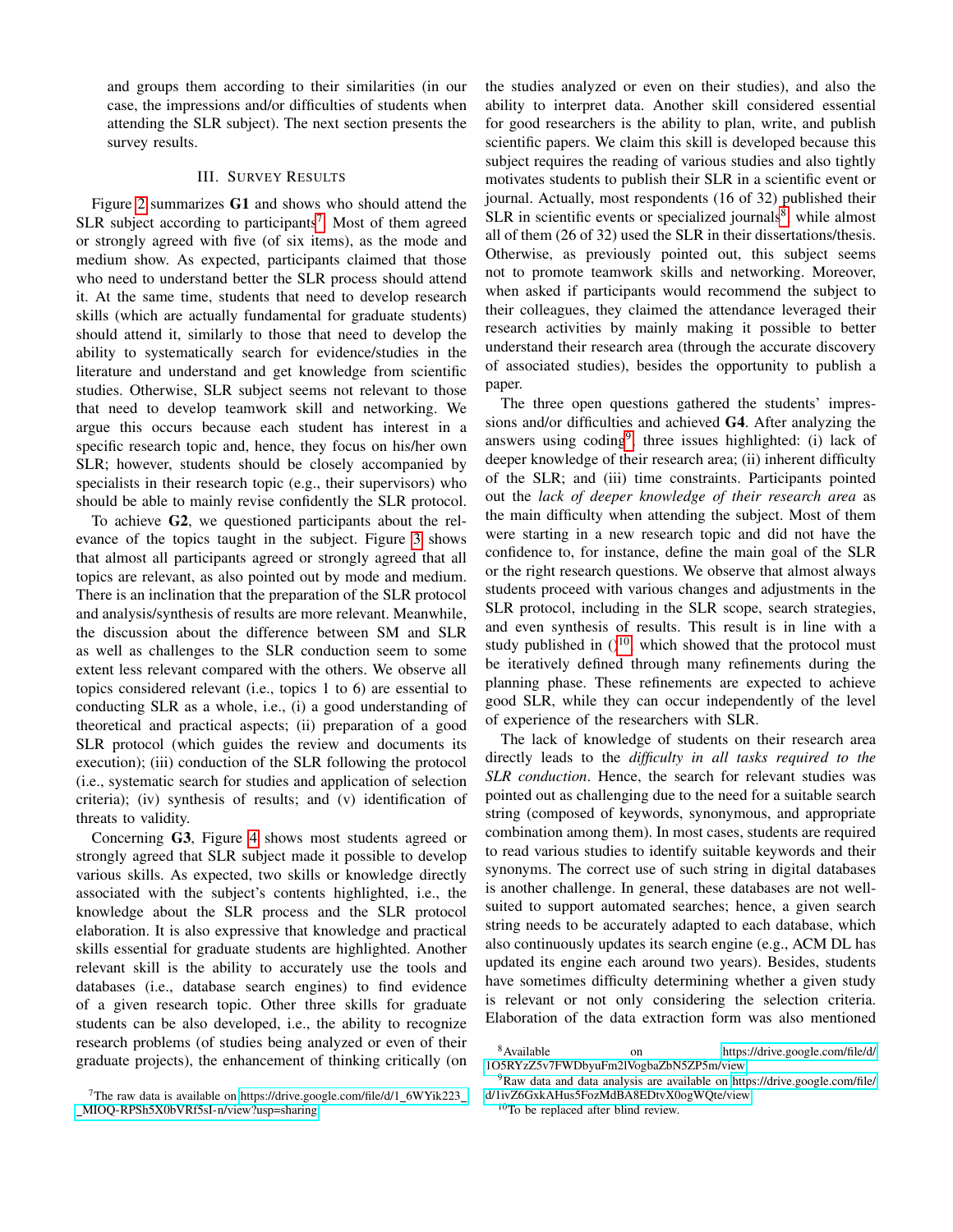and groups them according to their similarities (in our case, the impressions and/or difficulties of students when attending the SLR subject). The next section presents the survey results.

## III. SURVEY RESULTS

<span id="page-2-0"></span>Figure [2](#page-3-2) summarizes G1 and shows who should attend the SLR subject according to participants<sup>[7](#page-2-1)</sup>. Most of them agreed or strongly agreed with five (of six items), as the mode and medium show. As expected, participants claimed that those who need to understand better the SLR process should attend it. At the same time, students that need to develop research skills (which are actually fundamental for graduate students) should attend it, similarly to those that need to develop the ability to systematically search for evidence/studies in the literature and understand and get knowledge from scientific studies. Otherwise, SLR subject seems not relevant to those that need to develop teamwork skill and networking. We argue this occurs because each student has interest in a specific research topic and, hence, they focus on his/her own SLR; however, students should be closely accompanied by specialists in their research topic (e.g., their supervisors) who should be able to mainly revise confidently the SLR protocol.

To achieve G2, we questioned participants about the relevance of the topics taught in the subject. Figure [3](#page-3-3) shows that almost all participants agreed or strongly agreed that all topics are relevant, as also pointed out by mode and medium. There is an inclination that the preparation of the SLR protocol and analysis/synthesis of results are more relevant. Meanwhile, the discussion about the difference between SM and SLR as well as challenges to the SLR conduction seem to some extent less relevant compared with the others. We observe all topics considered relevant (i.e., topics 1 to 6) are essential to conducting SLR as a whole, i.e., (i) a good understanding of theoretical and practical aspects; (ii) preparation of a good SLR protocol (which guides the review and documents its execution); (iii) conduction of the SLR following the protocol (i.e., systematic search for studies and application of selection criteria); (iv) synthesis of results; and (v) identification of threats to validity.

Concerning G3, Figure [4](#page-3-4) shows most students agreed or strongly agreed that SLR subject made it possible to develop various skills. As expected, two skills or knowledge directly associated with the subject's contents highlighted, i.e., the knowledge about the SLR process and the SLR protocol elaboration. It is also expressive that knowledge and practical skills essential for graduate students are highlighted. Another relevant skill is the ability to accurately use the tools and databases (i.e., database search engines) to find evidence of a given research topic. Other three skills for graduate students can be also developed, i.e., the ability to recognize research problems (of studies being analyzed or even of their graduate projects), the enhancement of thinking critically (on the studies analyzed or even on their studies), and also the ability to interpret data. Another skill considered essential for good researchers is the ability to plan, write, and publish scientific papers. We claim this skill is developed because this subject requires the reading of various studies and also tightly motivates students to publish their SLR in a scientific event or journal. Actually, most respondents (16 of 32) published their SLR in scientific events or specialized journals<sup>[8](#page-2-2)</sup>, while almost all of them (26 of 32) used the SLR in their dissertations/thesis. Otherwise, as previously pointed out, this subject seems not to promote teamwork skills and networking. Moreover, when asked if participants would recommend the subject to their colleagues, they claimed the attendance leveraged their research activities by mainly making it possible to better understand their research area (through the accurate discovery of associated studies), besides the opportunity to publish a paper.

The three open questions gathered the students' impressions and/or difficulties and achieved G4. After analyzing the answers using coding<sup>[9](#page-2-3)</sup>, three issues highlighted: (i) lack of deeper knowledge of their research area; (ii) inherent difficulty of the SLR; and (iii) time constraints. Participants pointed out the *lack of deeper knowledge of their research area* as the main difficulty when attending the subject. Most of them were starting in a new research topic and did not have the confidence to, for instance, define the main goal of the SLR or the right research questions. We observe that almost always students proceed with various changes and adjustments in the SLR protocol, including in the SLR scope, search strategies, and even synthesis of results. This result is in line with a study published in  $()^{10}$  $()^{10}$  $()^{10}$ , which showed that the protocol must be iteratively defined through many refinements during the planning phase. These refinements are expected to achieve good SLR, while they can occur independently of the level of experience of the researchers with SLR.

The lack of knowledge of students on their research area directly leads to the *difficulty in all tasks required to the SLR conduction*. Hence, the search for relevant studies was pointed out as challenging due to the need for a suitable search string (composed of keywords, synonymous, and appropriate combination among them). In most cases, students are required to read various studies to identify suitable keywords and their synonyms. The correct use of such string in digital databases is another challenge. In general, these databases are not wellsuited to support automated searches; hence, a given search string needs to be accurately adapted to each database, which also continuously updates its search engine (e.g., ACM DL has updated its engine each around two years). Besides, students have sometimes difficulty determining whether a given study is relevant or not only considering the selection criteria. Elaboration of the data extraction form was also mentioned

<span id="page-2-1"></span><sup>&</sup>lt;sup>7</sup>The raw data is available on [https://drive.google.com/file/d/1](https://drive.google.com/file/d/1_6WYik223__MIOQ-RPSh5X0bVRf5sI-n/view?usp=sharing)\_6WYik223\_ [MIOQ-RPSh5X0bVRf5sI-n/view?usp=sharing](https://drive.google.com/file/d/1_6WYik223__MIOQ-RPSh5X0bVRf5sI-n/view?usp=sharing)

<span id="page-2-2"></span><sup>8</sup>Available on [https://drive.google.com/file/d/](https://drive.google.com/file/d/1O5RYzZ5v7FWDbyuFm2lVogbaZbN5ZP5m/view) [1O5RYzZ5v7FWDbyuFm2lVogbaZbN5ZP5m/view](https://drive.google.com/file/d/1O5RYzZ5v7FWDbyuFm2lVogbaZbN5ZP5m/view)

<span id="page-2-3"></span><sup>&</sup>lt;sup>9</sup>Raw data and data analysis are available on [https://drive.google.com/file/](https://drive.google.com/file/d/1ivZ6GxkAHus5FozMdBA8EDtvX0ogWQte/view) [d/1ivZ6GxkAHus5FozMdBA8EDtvX0ogWQte/view](https://drive.google.com/file/d/1ivZ6GxkAHus5FozMdBA8EDtvX0ogWQte/view)

<span id="page-2-4"></span><sup>10</sup>To be replaced after blind review.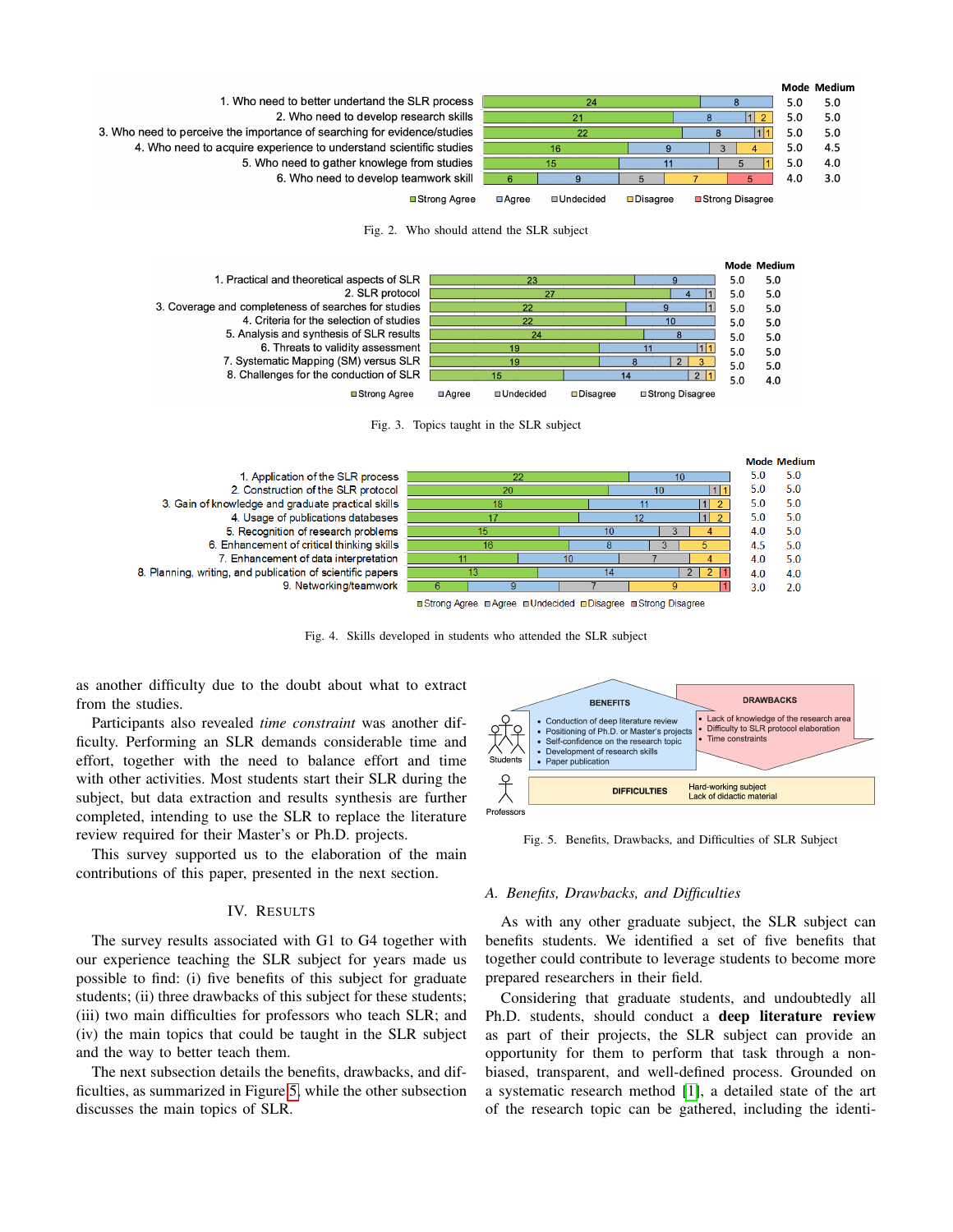

<span id="page-3-2"></span>Fig. 2. Who should attend the SLR subject



<span id="page-3-3"></span>Fig. 3. Topics taught in the SLR subject



<span id="page-3-4"></span>Fig. 4. Skills developed in students who attended the SLR subject

as another difficulty due to the doubt about what to extract from the studies.

Participants also revealed *time constraint* was another difficulty. Performing an SLR demands considerable time and effort, together with the need to balance effort and time with other activities. Most students start their SLR during the subject, but data extraction and results synthesis are further completed, intending to use the SLR to replace the literature review required for their Master's or Ph.D. projects.

This survey supported us to the elaboration of the main contributions of this paper, presented in the next section.

## IV. RESULTS

<span id="page-3-0"></span>The survey results associated with G1 to G4 together with our experience teaching the SLR subject for years made us possible to find: (i) five benefits of this subject for graduate students; (ii) three drawbacks of this subject for these students; (iii) two main difficulties for professors who teach SLR; and (iv) the main topics that could be taught in the SLR subject and the way to better teach them.

The next subsection details the benefits, drawbacks, and difficulties, as summarized in Figure [5,](#page-3-5) while the other subsection discusses the main topics of SLR.



<span id="page-3-5"></span>Fig. 5. Benefits, Drawbacks, and Difficulties of SLR Subject

#### <span id="page-3-1"></span>*A. Benefits, Drawbacks, and Difficulties*

As with any other graduate subject, the SLR subject can benefits students. We identified a set of five benefits that together could contribute to leverage students to become more prepared researchers in their field.

Considering that graduate students, and undoubtedly all Ph.D. students, should conduct a deep literature review as part of their projects, the SLR subject can provide an opportunity for them to perform that task through a nonbiased, transparent, and well-defined process. Grounded on a systematic research method [\[1\]](#page-7-0), a detailed state of the art of the research topic can be gathered, including the identi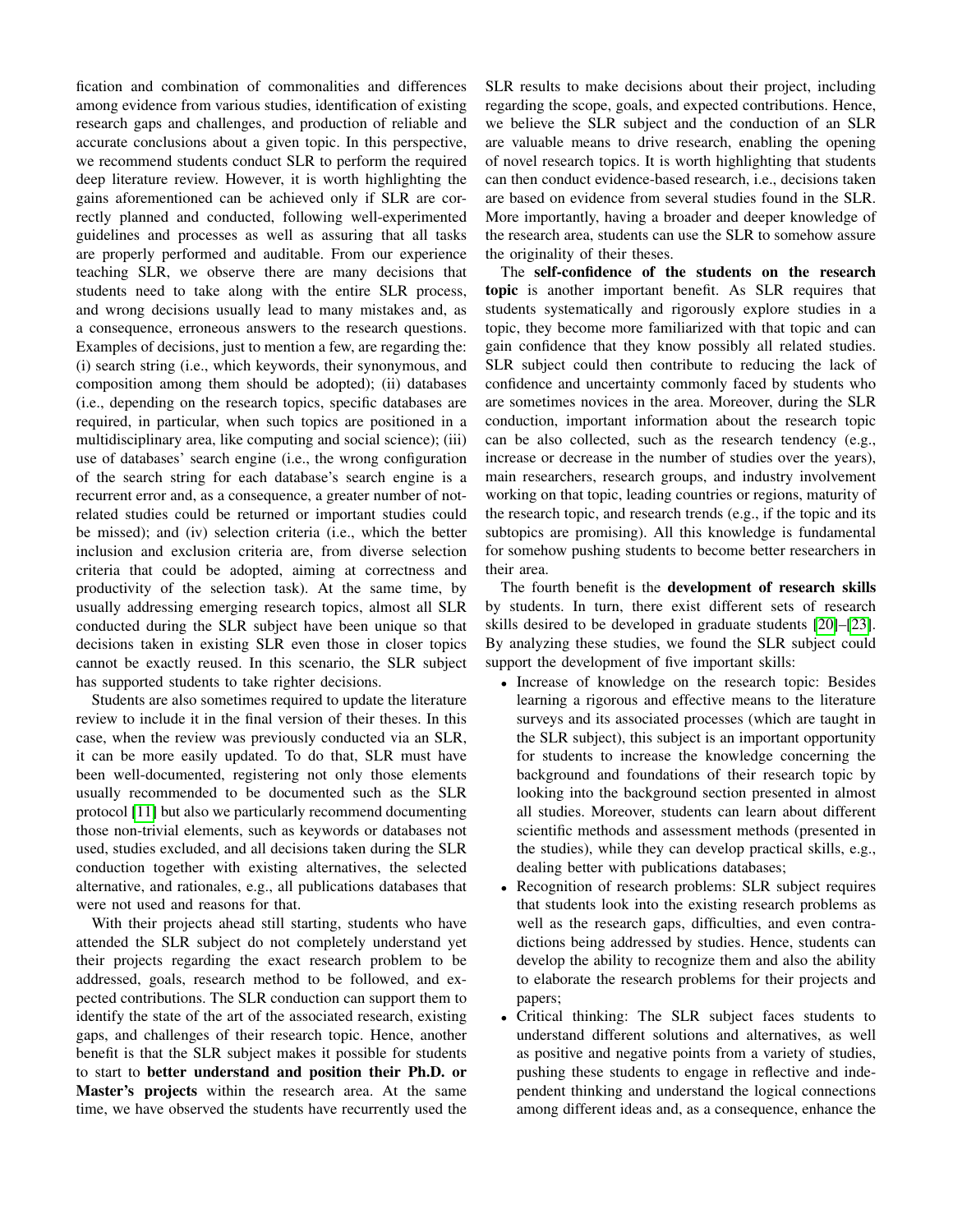fication and combination of commonalities and differences among evidence from various studies, identification of existing research gaps and challenges, and production of reliable and accurate conclusions about a given topic. In this perspective, we recommend students conduct SLR to perform the required deep literature review. However, it is worth highlighting the gains aforementioned can be achieved only if SLR are correctly planned and conducted, following well-experimented guidelines and processes as well as assuring that all tasks are properly performed and auditable. From our experience teaching SLR, we observe there are many decisions that students need to take along with the entire SLR process, and wrong decisions usually lead to many mistakes and, as a consequence, erroneous answers to the research questions. Examples of decisions, just to mention a few, are regarding the: (i) search string (i.e., which keywords, their synonymous, and composition among them should be adopted); (ii) databases (i.e., depending on the research topics, specific databases are required, in particular, when such topics are positioned in a multidisciplinary area, like computing and social science); (iii) use of databases' search engine (i.e., the wrong configuration of the search string for each database's search engine is a recurrent error and, as a consequence, a greater number of notrelated studies could be returned or important studies could be missed); and (iv) selection criteria (i.e., which the better inclusion and exclusion criteria are, from diverse selection criteria that could be adopted, aiming at correctness and productivity of the selection task). At the same time, by usually addressing emerging research topics, almost all SLR conducted during the SLR subject have been unique so that decisions taken in existing SLR even those in closer topics cannot be exactly reused. In this scenario, the SLR subject has supported students to take righter decisions.

Students are also sometimes required to update the literature review to include it in the final version of their theses. In this case, when the review was previously conducted via an SLR, it can be more easily updated. To do that, SLR must have been well-documented, registering not only those elements usually recommended to be documented such as the SLR protocol [\[11\]](#page-8-1) but also we particularly recommend documenting those non-trivial elements, such as keywords or databases not used, studies excluded, and all decisions taken during the SLR conduction together with existing alternatives, the selected alternative, and rationales, e.g., all publications databases that were not used and reasons for that.

With their projects ahead still starting, students who have attended the SLR subject do not completely understand yet their projects regarding the exact research problem to be addressed, goals, research method to be followed, and expected contributions. The SLR conduction can support them to identify the state of the art of the associated research, existing gaps, and challenges of their research topic. Hence, another benefit is that the SLR subject makes it possible for students to start to better understand and position their Ph.D. or Master's projects within the research area. At the same time, we have observed the students have recurrently used the SLR results to make decisions about their project, including regarding the scope, goals, and expected contributions. Hence, we believe the SLR subject and the conduction of an SLR are valuable means to drive research, enabling the opening of novel research topics. It is worth highlighting that students can then conduct evidence-based research, i.e., decisions taken are based on evidence from several studies found in the SLR. More importantly, having a broader and deeper knowledge of the research area, students can use the SLR to somehow assure the originality of their theses.

The self-confidence of the students on the research topic is another important benefit. As SLR requires that students systematically and rigorously explore studies in a topic, they become more familiarized with that topic and can gain confidence that they know possibly all related studies. SLR subject could then contribute to reducing the lack of confidence and uncertainty commonly faced by students who are sometimes novices in the area. Moreover, during the SLR conduction, important information about the research topic can be also collected, such as the research tendency (e.g., increase or decrease in the number of studies over the years), main researchers, research groups, and industry involvement working on that topic, leading countries or regions, maturity of the research topic, and research trends (e.g., if the topic and its subtopics are promising). All this knowledge is fundamental for somehow pushing students to become better researchers in their area.

The fourth benefit is the development of research skills by students. In turn, there exist different sets of research skills desired to be developed in graduate students [\[20\]](#page-8-10)–[\[23\]](#page-8-11). By analyzing these studies, we found the SLR subject could support the development of five important skills:

- Increase of knowledge on the research topic: Besides learning a rigorous and effective means to the literature surveys and its associated processes (which are taught in the SLR subject), this subject is an important opportunity for students to increase the knowledge concerning the background and foundations of their research topic by looking into the background section presented in almost all studies. Moreover, students can learn about different scientific methods and assessment methods (presented in the studies), while they can develop practical skills, e.g., dealing better with publications databases;
- Recognition of research problems: SLR subject requires that students look into the existing research problems as well as the research gaps, difficulties, and even contradictions being addressed by studies. Hence, students can develop the ability to recognize them and also the ability to elaborate the research problems for their projects and papers;
- Critical thinking: The SLR subject faces students to understand different solutions and alternatives, as well as positive and negative points from a variety of studies, pushing these students to engage in reflective and independent thinking and understand the logical connections among different ideas and, as a consequence, enhance the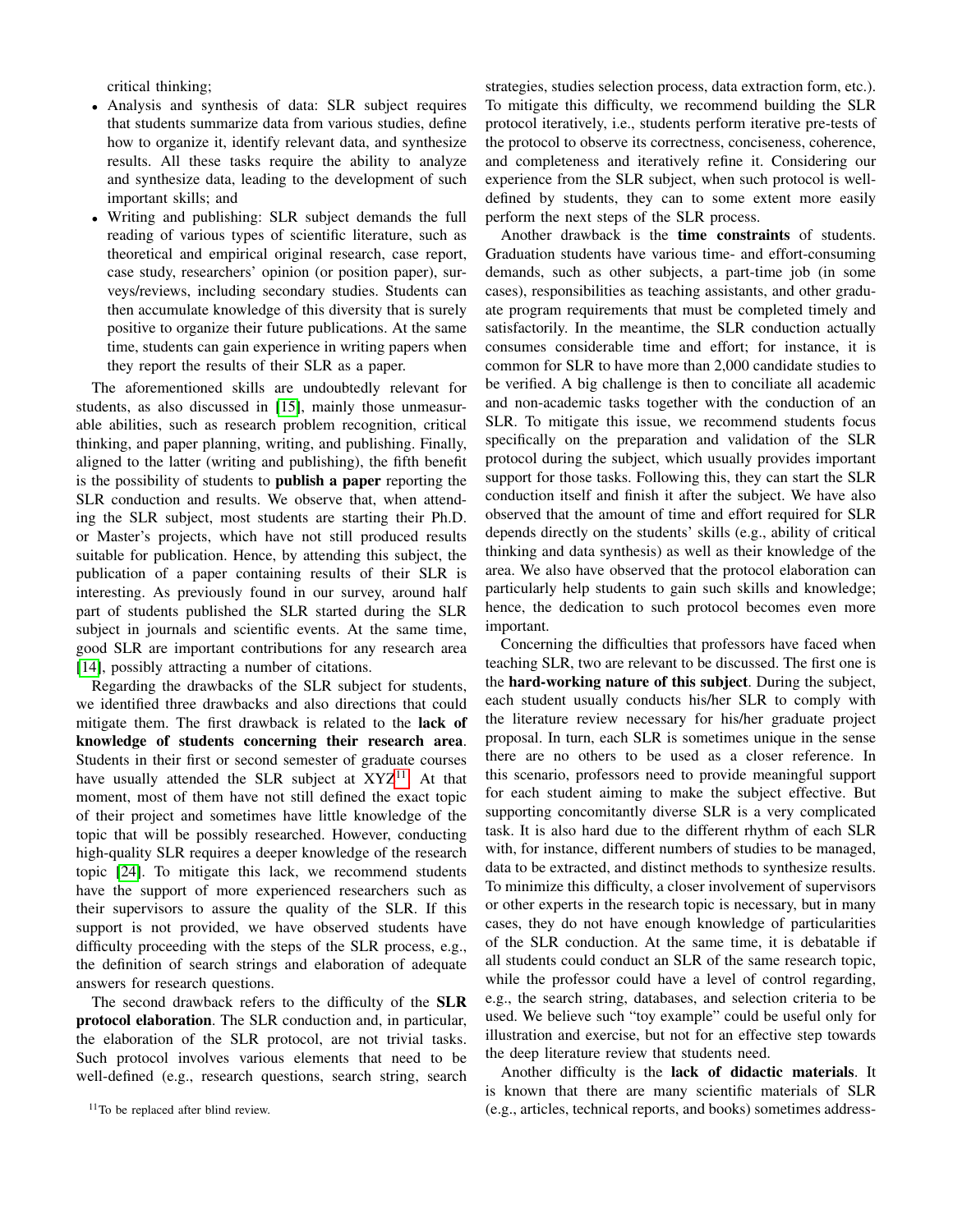critical thinking;

- Analysis and synthesis of data: SLR subject requires that students summarize data from various studies, define how to organize it, identify relevant data, and synthesize results. All these tasks require the ability to analyze and synthesize data, leading to the development of such important skills; and
- Writing and publishing: SLR subject demands the full reading of various types of scientific literature, such as theoretical and empirical original research, case report, case study, researchers' opinion (or position paper), surveys/reviews, including secondary studies. Students can then accumulate knowledge of this diversity that is surely positive to organize their future publications. At the same time, students can gain experience in writing papers when they report the results of their SLR as a paper.

The aforementioned skills are undoubtedly relevant for students, as also discussed in [\[15\]](#page-8-5), mainly those unmeasurable abilities, such as research problem recognition, critical thinking, and paper planning, writing, and publishing. Finally, aligned to the latter (writing and publishing), the fifth benefit is the possibility of students to publish a paper reporting the SLR conduction and results. We observe that, when attending the SLR subject, most students are starting their Ph.D. or Master's projects, which have not still produced results suitable for publication. Hence, by attending this subject, the publication of a paper containing results of their SLR is interesting. As previously found in our survey, around half part of students published the SLR started during the SLR subject in journals and scientific events. At the same time, good SLR are important contributions for any research area [\[14\]](#page-8-4), possibly attracting a number of citations.

Regarding the drawbacks of the SLR subject for students, we identified three drawbacks and also directions that could mitigate them. The first drawback is related to the lack of knowledge of students concerning their research area. Students in their first or second semester of graduate courses have usually attended the SLR subject at  $XYZ^{11}$  $XYZ^{11}$  $XYZ^{11}$ . At that moment, most of them have not still defined the exact topic of their project and sometimes have little knowledge of the topic that will be possibly researched. However, conducting high-quality SLR requires a deeper knowledge of the research topic [\[24\]](#page-8-12). To mitigate this lack, we recommend students have the support of more experienced researchers such as their supervisors to assure the quality of the SLR. If this support is not provided, we have observed students have difficulty proceeding with the steps of the SLR process, e.g., the definition of search strings and elaboration of adequate answers for research questions.

The second drawback refers to the difficulty of the SLR protocol elaboration. The SLR conduction and, in particular, the elaboration of the SLR protocol, are not trivial tasks. Such protocol involves various elements that need to be well-defined (e.g., research questions, search string, search

strategies, studies selection process, data extraction form, etc.). To mitigate this difficulty, we recommend building the SLR protocol iteratively, i.e., students perform iterative pre-tests of the protocol to observe its correctness, conciseness, coherence, and completeness and iteratively refine it. Considering our experience from the SLR subject, when such protocol is welldefined by students, they can to some extent more easily perform the next steps of the SLR process.

Another drawback is the time constraints of students. Graduation students have various time- and effort-consuming demands, such as other subjects, a part-time job (in some cases), responsibilities as teaching assistants, and other graduate program requirements that must be completed timely and satisfactorily. In the meantime, the SLR conduction actually consumes considerable time and effort; for instance, it is common for SLR to have more than 2,000 candidate studies to be verified. A big challenge is then to conciliate all academic and non-academic tasks together with the conduction of an SLR. To mitigate this issue, we recommend students focus specifically on the preparation and validation of the SLR protocol during the subject, which usually provides important support for those tasks. Following this, they can start the SLR conduction itself and finish it after the subject. We have also observed that the amount of time and effort required for SLR depends directly on the students' skills (e.g., ability of critical thinking and data synthesis) as well as their knowledge of the area. We also have observed that the protocol elaboration can particularly help students to gain such skills and knowledge; hence, the dedication to such protocol becomes even more important.

Concerning the difficulties that professors have faced when teaching SLR, two are relevant to be discussed. The first one is the hard-working nature of this subject. During the subject, each student usually conducts his/her SLR to comply with the literature review necessary for his/her graduate project proposal. In turn, each SLR is sometimes unique in the sense there are no others to be used as a closer reference. In this scenario, professors need to provide meaningful support for each student aiming to make the subject effective. But supporting concomitantly diverse SLR is a very complicated task. It is also hard due to the different rhythm of each SLR with, for instance, different numbers of studies to be managed, data to be extracted, and distinct methods to synthesize results. To minimize this difficulty, a closer involvement of supervisors or other experts in the research topic is necessary, but in many cases, they do not have enough knowledge of particularities of the SLR conduction. At the same time, it is debatable if all students could conduct an SLR of the same research topic, while the professor could have a level of control regarding, e.g., the search string, databases, and selection criteria to be used. We believe such "toy example" could be useful only for illustration and exercise, but not for an effective step towards the deep literature review that students need.

Another difficulty is the lack of didactic materials. It is known that there are many scientific materials of SLR (e.g., articles, technical reports, and books) sometimes address-

<span id="page-5-0"></span><sup>&</sup>lt;sup>11</sup>To be replaced after blind review.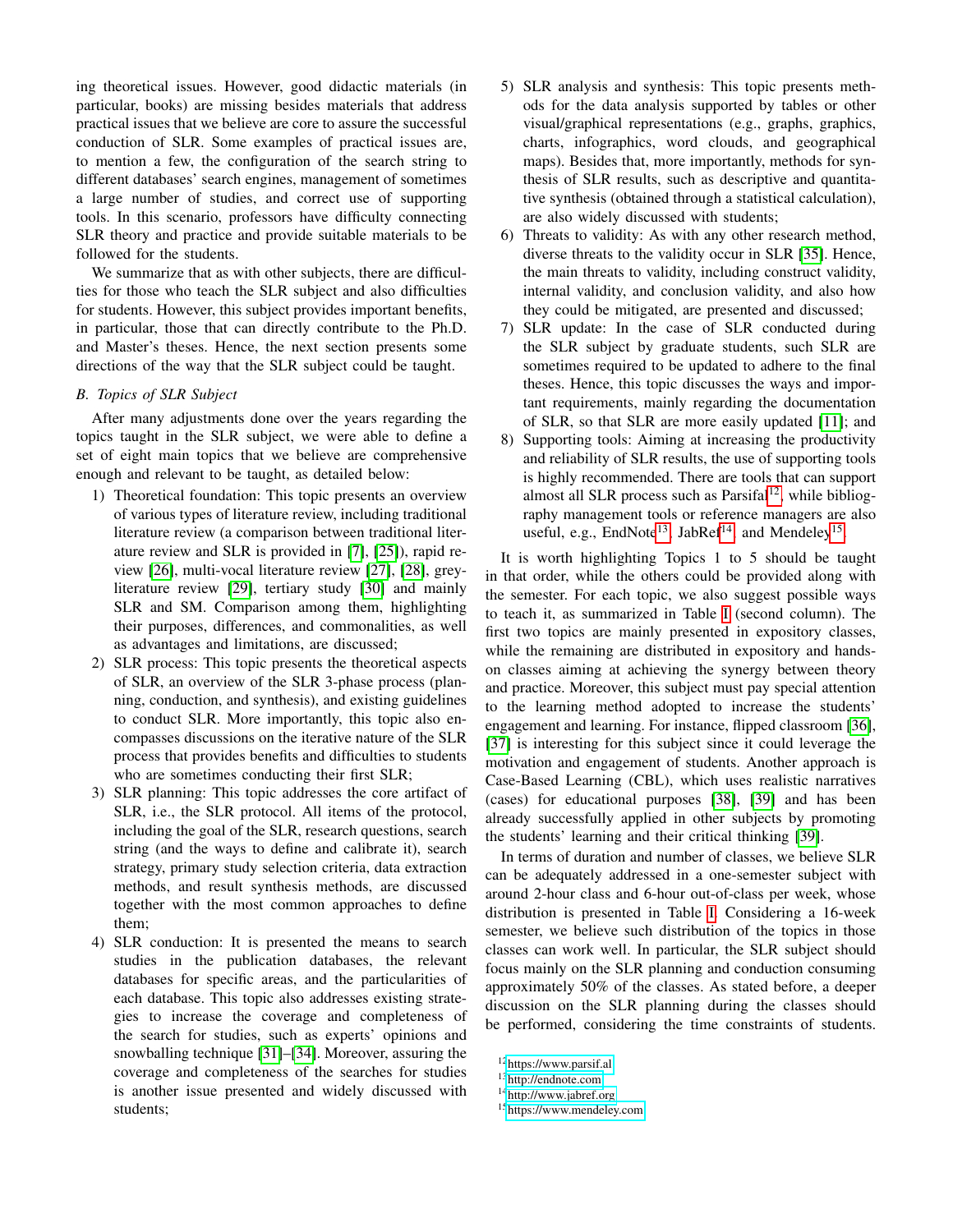ing theoretical issues. However, good didactic materials (in particular, books) are missing besides materials that address practical issues that we believe are core to assure the successful conduction of SLR. Some examples of practical issues are, to mention a few, the configuration of the search string to different databases' search engines, management of sometimes a large number of studies, and correct use of supporting tools. In this scenario, professors have difficulty connecting SLR theory and practice and provide suitable materials to be followed for the students.

We summarize that as with other subjects, there are difficulties for those who teach the SLR subject and also difficulties for students. However, this subject provides important benefits, in particular, those that can directly contribute to the Ph.D. and Master's theses. Hence, the next section presents some directions of the way that the SLR subject could be taught.

# <span id="page-6-0"></span>*B. Topics of SLR Subject*

After many adjustments done over the years regarding the topics taught in the SLR subject, we were able to define a set of eight main topics that we believe are comprehensive enough and relevant to be taught, as detailed below:

- 1) Theoretical foundation: This topic presents an overview of various types of literature review, including traditional literature review (a comparison between traditional literature review and SLR is provided in [\[7\]](#page-7-6), [\[25\]](#page-8-13)), rapid review [\[26\]](#page-8-14), multi-vocal literature review [\[27\]](#page-8-15), [\[28\]](#page-8-16), greyliterature review [\[29\]](#page-8-17), tertiary study [\[30\]](#page-8-18) and mainly SLR and SM. Comparison among them, highlighting their purposes, differences, and commonalities, as well as advantages and limitations, are discussed;
- 2) SLR process: This topic presents the theoretical aspects of SLR, an overview of the SLR 3-phase process (planning, conduction, and synthesis), and existing guidelines to conduct SLR. More importantly, this topic also encompasses discussions on the iterative nature of the SLR process that provides benefits and difficulties to students who are sometimes conducting their first SLR;
- 3) SLR planning: This topic addresses the core artifact of SLR, i.e., the SLR protocol. All items of the protocol, including the goal of the SLR, research questions, search string (and the ways to define and calibrate it), search strategy, primary study selection criteria, data extraction methods, and result synthesis methods, are discussed together with the most common approaches to define them;
- 4) SLR conduction: It is presented the means to search studies in the publication databases, the relevant databases for specific areas, and the particularities of each database. This topic also addresses existing strategies to increase the coverage and completeness of the search for studies, such as experts' opinions and snowballing technique [\[31\]](#page-8-19)–[\[34\]](#page-8-20). Moreover, assuring the coverage and completeness of the searches for studies is another issue presented and widely discussed with students;
- 5) SLR analysis and synthesis: This topic presents methods for the data analysis supported by tables or other visual/graphical representations (e.g., graphs, graphics, charts, infographics, word clouds, and geographical maps). Besides that, more importantly, methods for synthesis of SLR results, such as descriptive and quantitative synthesis (obtained through a statistical calculation), are also widely discussed with students;
- 6) Threats to validity: As with any other research method, diverse threats to the validity occur in SLR [\[35\]](#page-8-21). Hence, the main threats to validity, including construct validity, internal validity, and conclusion validity, and also how they could be mitigated, are presented and discussed;
- 7) SLR update: In the case of SLR conducted during the SLR subject by graduate students, such SLR are sometimes required to be updated to adhere to the final theses. Hence, this topic discusses the ways and important requirements, mainly regarding the documentation of SLR, so that SLR are more easily updated [\[11\]](#page-8-1); and
- 8) Supporting tools: Aiming at increasing the productivity and reliability of SLR results, the use of supporting tools is highly recommended. There are tools that can support almost all SLR process such as Parsifal<sup>[12](#page-6-1)</sup>, while bibliography management tools or reference managers are also useful, e.g., EndNote<sup>[13](#page-6-2)</sup>, JabRef<sup>[14](#page-6-3)</sup>, and Mendeley<sup>[15](#page-6-4)</sup>.

It is worth highlighting Topics 1 to 5 should be taught in that order, while the others could be provided along with the semester. For each topic, we also suggest possible ways to teach it, as summarized in Table [I](#page-8-22) (second column). The first two topics are mainly presented in expository classes, while the remaining are distributed in expository and handson classes aiming at achieving the synergy between theory and practice. Moreover, this subject must pay special attention to the learning method adopted to increase the students' engagement and learning. For instance, flipped classroom [\[36\]](#page-8-23), [\[37\]](#page-8-24) is interesting for this subject since it could leverage the motivation and engagement of students. Another approach is Case-Based Learning (CBL), which uses realistic narratives (cases) for educational purposes [\[38\]](#page-8-25), [\[39\]](#page-9-0) and has been already successfully applied in other subjects by promoting the students' learning and their critical thinking [\[39\]](#page-9-0).

In terms of duration and number of classes, we believe SLR can be adequately addressed in a one-semester subject with around 2-hour class and 6-hour out-of-class per week, whose distribution is presented in Table [I.](#page-8-22) Considering a 16-week semester, we believe such distribution of the topics in those classes can work well. In particular, the SLR subject should focus mainly on the SLR planning and conduction consuming approximately 50% of the classes. As stated before, a deeper discussion on the SLR planning during the classes should be performed, considering the time constraints of students.

<span id="page-6-3"></span><sup>14</sup><http://www.jabref.org>

<span id="page-6-1"></span><sup>12</sup><https://www.parsif.al>

<span id="page-6-2"></span><sup>13</sup><http://endnote.com>

<span id="page-6-4"></span><sup>15</sup><https://www.mendeley.com>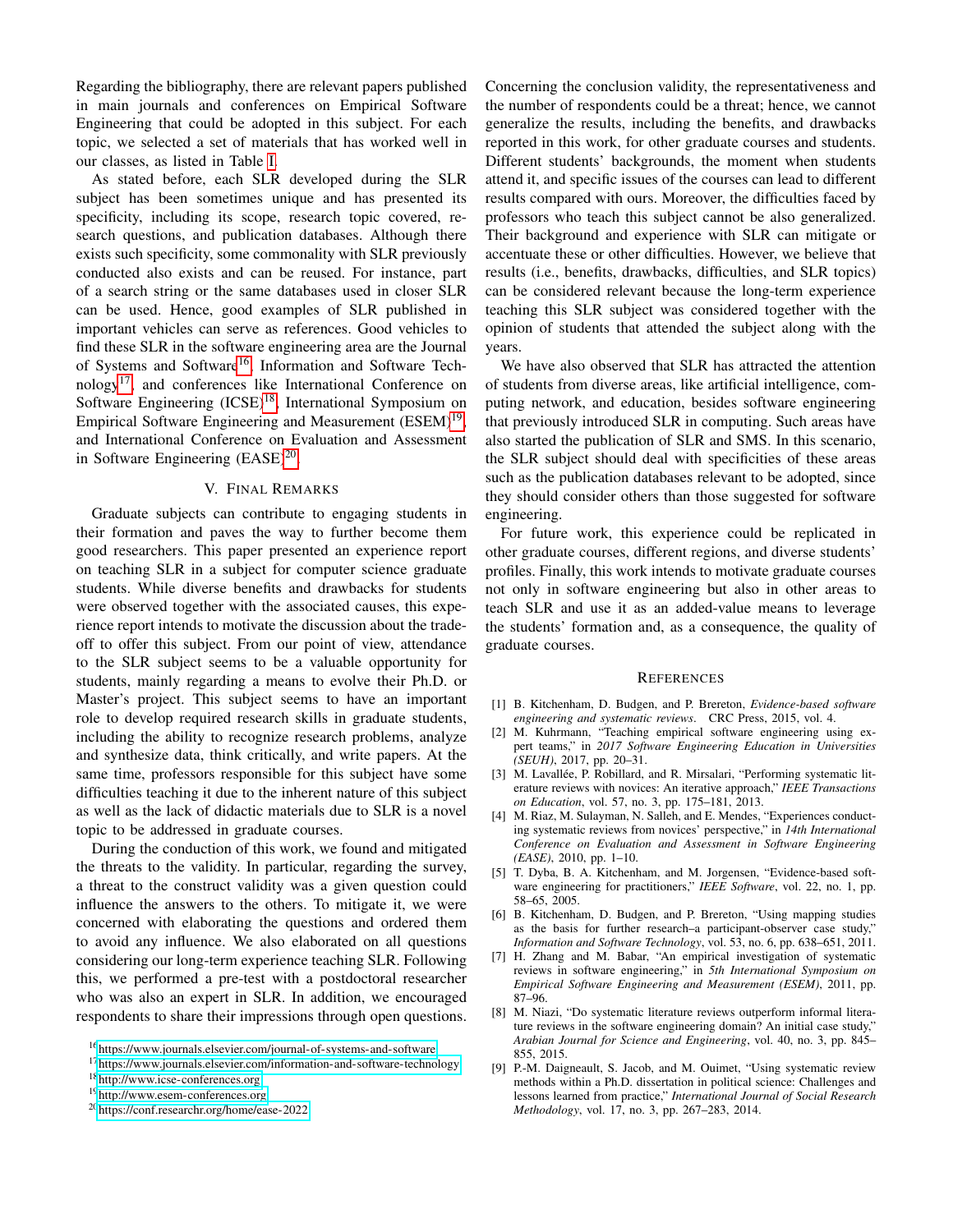Regarding the bibliography, there are relevant papers published in main journals and conferences on Empirical Software Engineering that could be adopted in this subject. For each topic, we selected a set of materials that has worked well in our classes, as listed in Table [I.](#page-8-22)

As stated before, each SLR developed during the SLR subject has been sometimes unique and has presented its specificity, including its scope, research topic covered, research questions, and publication databases. Although there exists such specificity, some commonality with SLR previously conducted also exists and can be reused. For instance, part of a search string or the same databases used in closer SLR can be used. Hence, good examples of SLR published in important vehicles can serve as references. Good vehicles to find these SLR in the software engineering area are the Journal of Systems and Software<sup>[16](#page-7-7)</sup>, Information and Software Technology[17](#page-7-8), and conferences like International Conference on Software Engineering (ICSE)<sup>[18](#page-7-9)</sup>, International Symposium on Empirical Software Engineering and Measurement (ESEM)<sup>[19](#page-7-10)</sup>, and International Conference on Evaluation and Assessment in Software Engineering  $(EASE)^{20}$  $(EASE)^{20}$  $(EASE)^{20}$ .

# V. FINAL REMARKS

<span id="page-7-5"></span>Graduate subjects can contribute to engaging students in their formation and paves the way to further become them good researchers. This paper presented an experience report on teaching SLR in a subject for computer science graduate students. While diverse benefits and drawbacks for students were observed together with the associated causes, this experience report intends to motivate the discussion about the tradeoff to offer this subject. From our point of view, attendance to the SLR subject seems to be a valuable opportunity for students, mainly regarding a means to evolve their Ph.D. or Master's project. This subject seems to have an important role to develop required research skills in graduate students, including the ability to recognize research problems, analyze and synthesize data, think critically, and write papers. At the same time, professors responsible for this subject have some difficulties teaching it due to the inherent nature of this subject as well as the lack of didactic materials due to SLR is a novel topic to be addressed in graduate courses.

During the conduction of this work, we found and mitigated the threats to the validity. In particular, regarding the survey, a threat to the construct validity was a given question could influence the answers to the others. To mitigate it, we were concerned with elaborating the questions and ordered them to avoid any influence. We also elaborated on all questions considering our long-term experience teaching SLR. Following this, we performed a pre-test with a postdoctoral researcher who was also an expert in SLR. In addition, we encouraged respondents to share their impressions through open questions. Concerning the conclusion validity, the representativeness and the number of respondents could be a threat; hence, we cannot generalize the results, including the benefits, and drawbacks reported in this work, for other graduate courses and students. Different students' backgrounds, the moment when students attend it, and specific issues of the courses can lead to different results compared with ours. Moreover, the difficulties faced by professors who teach this subject cannot be also generalized. Their background and experience with SLR can mitigate or accentuate these or other difficulties. However, we believe that results (i.e., benefits, drawbacks, difficulties, and SLR topics) can be considered relevant because the long-term experience teaching this SLR subject was considered together with the opinion of students that attended the subject along with the years.

We have also observed that SLR has attracted the attention of students from diverse areas, like artificial intelligence, computing network, and education, besides software engineering that previously introduced SLR in computing. Such areas have also started the publication of SLR and SMS. In this scenario, the SLR subject should deal with specificities of these areas such as the publication databases relevant to be adopted, since they should consider others than those suggested for software engineering.

For future work, this experience could be replicated in other graduate courses, different regions, and diverse students' profiles. Finally, this work intends to motivate graduate courses not only in software engineering but also in other areas to teach SLR and use it as an added-value means to leverage the students' formation and, as a consequence, the quality of graduate courses.

#### **REFERENCES**

- <span id="page-7-0"></span>[1] B. Kitchenham, D. Budgen, and P. Brereton, *Evidence-based software engineering and systematic reviews*. CRC Press, 2015, vol. 4.
- [2] M. Kuhrmann, "Teaching empirical software engineering using expert teams," in *2017 Software Engineering Education in Universities (SEUH)*, 2017, pp. 20–31.
- [3] M. Lavallée, P. Robillard, and R. Mirsalari, "Performing systematic literature reviews with novices: An iterative approach," *IEEE Transactions on Education*, vol. 57, no. 3, pp. 175–181, 2013.
- <span id="page-7-1"></span>[4] M. Riaz, M. Sulayman, N. Salleh, and E. Mendes, "Experiences conducting systematic reviews from novices' perspective," in *14th International Conference on Evaluation and Assessment in Software Engineering (EASE)*, 2010, pp. 1–10.
- <span id="page-7-2"></span>[5] T. Dyba, B. A. Kitchenham, and M. Jorgensen, "Evidence-based software engineering for practitioners," *IEEE Software*, vol. 22, no. 1, pp. 58–65, 2005.
- <span id="page-7-12"></span>[6] B. Kitchenham, D. Budgen, and P. Brereton, "Using mapping studies as the basis for further research–a participant-observer case study, *Information and Software Technology*, vol. 53, no. 6, pp. 638–651, 2011.
- <span id="page-7-6"></span>[7] H. Zhang and M. Babar, "An empirical investigation of systematic reviews in software engineering," in *5th International Symposium on Empirical Software Engineering and Measurement (ESEM)*, 2011, pp. 87–96.
- <span id="page-7-3"></span>[8] M. Niazi, "Do systematic literature reviews outperform informal literature reviews in the software engineering domain? An initial case study, *Arabian Journal for Science and Engineering*, vol. 40, no. 3, pp. 845– 855, 2015.
- <span id="page-7-4"></span>[9] P.-M. Daigneault, S. Jacob, and M. Ouimet, "Using systematic review methods within a Ph.D. dissertation in political science: Challenges and lessons learned from practice," *International Journal of Social Research Methodology*, vol. 17, no. 3, pp. 267–283, 2014.

<span id="page-7-7"></span><sup>16</sup><https://www.journals.elsevier.com/journal-of-systems-and-software>

<span id="page-7-9"></span><span id="page-7-8"></span><sup>17</sup><https://www.journals.elsevier.com/information-and-software-technology> <sup>18</sup><http://www.icse-conferences.org>

<span id="page-7-10"></span><sup>19</sup><http://www.esem-conferences.org>

<span id="page-7-11"></span><sup>20</sup><https://conf.researchr.org/home/ease-2022>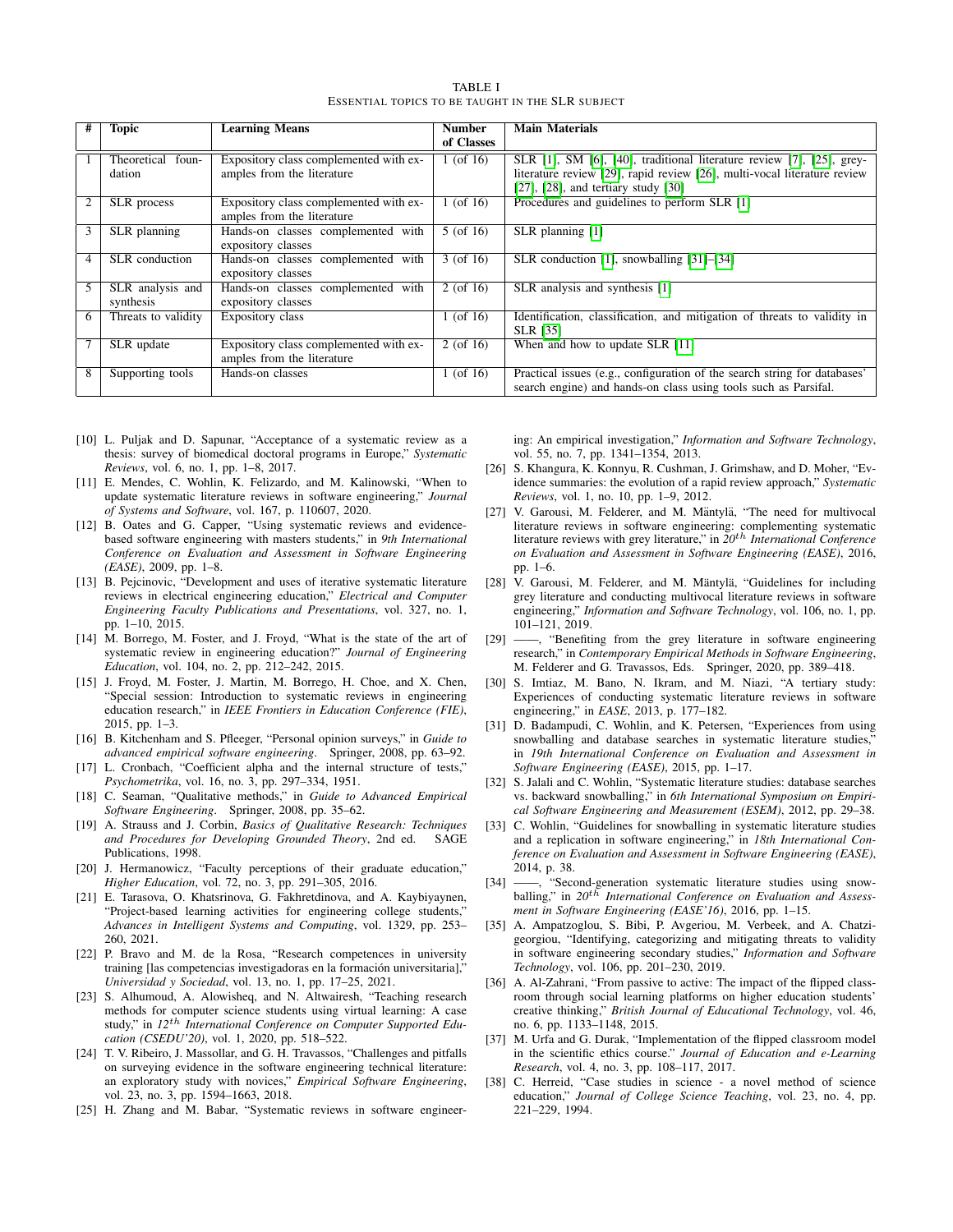<span id="page-8-22"></span>

|   | <b>Topic</b>        | <b>Learning Means</b>                  | <b>Number</b> | <b>Main Materials</b>                                                     |
|---|---------------------|----------------------------------------|---------------|---------------------------------------------------------------------------|
|   |                     |                                        | of Classes    |                                                                           |
|   | Theoretical foun-   | Expository class complemented with ex- | $1$ (of 16)   | SLR [1], SM [6], [40], traditional literature review [7], [25], grey-     |
|   | dation              | amples from the literature             |               | literature review [29], rapid review [26], multi-vocal literature review  |
|   |                     |                                        |               | $[27]$ , $[28]$ , and tertiary study $[30]$                               |
|   | SLR process         | Expository class complemented with ex- | $1$ (of 16)   | Procedures and guidelines to perform SLR [1]                              |
|   |                     | amples from the literature             |               |                                                                           |
| 3 | SLR planning        | Hands-on classes complemented with     | $5($ of 16)   | SLR planning [1]                                                          |
|   |                     | expository classes                     |               |                                                                           |
| 4 | SLR conduction      | Hands-on classes complemented with     | $3($ of 16)   | SLR conduction [1], snowballing [31]–[34]                                 |
|   |                     | expository classes                     |               |                                                                           |
| 5 | SLR analysis and    | Hands-on classes complemented with     | $2$ (of 16)   | SLR analysis and synthesis [1]                                            |
|   | synthesis           | expository classes                     |               |                                                                           |
| 6 | Threats to validity | Expository class                       | 1 (of 16)     | Identification, classification, and mitigation of threats to validity in  |
|   |                     |                                        |               | <b>SLR</b> [35]                                                           |
|   | SLR update          | Expository class complemented with ex- | $2($ of 16)   | When and how to update SLR [11]                                           |
|   |                     | amples from the literature             |               |                                                                           |
| 8 | Supporting tools    | Hands-on classes                       | 1 (of 16)     | Practical issues (e.g., configuration of the search string for databases' |
|   |                     |                                        |               | search engine) and hands-on class using tools such as Parsifal.           |

TABLE I ESSENTIAL TOPICS TO BE TAUGHT IN THE SLR SUBJECT

- <span id="page-8-0"></span>[10] L. Puljak and D. Sapunar, "Acceptance of a systematic review as a thesis: survey of biomedical doctoral programs in Europe," *Systematic Reviews*, vol. 6, no. 1, pp. 1–8, 2017.
- <span id="page-8-1"></span>[11] E. Mendes, C. Wohlin, K. Felizardo, and M. Kalinowski, "When to update systematic literature reviews in software engineering," *Journal of Systems and Software*, vol. 167, p. 110607, 2020.
- <span id="page-8-2"></span>[12] B. Oates and G. Capper, "Using systematic reviews and evidencebased software engineering with masters students," in *9th International Conference on Evaluation and Assessment in Software Engineering (EASE)*, 2009, pp. 1–8.
- <span id="page-8-3"></span>[13] B. Pejcinovic, "Development and uses of iterative systematic literature reviews in electrical engineering education," *Electrical and Computer Engineering Faculty Publications and Presentations*, vol. 327, no. 1, pp. 1–10, 2015.
- <span id="page-8-4"></span>[14] M. Borrego, M. Foster, and J. Froyd, "What is the state of the art of systematic review in engineering education?" *Journal of Engineering Education*, vol. 104, no. 2, pp. 212–242, 2015.
- <span id="page-8-5"></span>[15] J. Froyd, M. Foster, J. Martin, M. Borrego, H. Choe, and X. Chen, "Special session: Introduction to systematic reviews in engineering education research," in *IEEE Frontiers in Education Conference (FIE)*, 2015, pp. 1–3.
- <span id="page-8-6"></span>[16] B. Kitchenham and S. Pfleeger, "Personal opinion surveys," in *Guide to advanced empirical software engineering*. Springer, 2008, pp. 63–92.
- <span id="page-8-7"></span>[17] L. Cronbach, "Coefficient alpha and the internal structure of tests," *Psychometrika*, vol. 16, no. 3, pp. 297–334, 1951.
- <span id="page-8-8"></span>[18] C. Seaman, "Qualitative methods," in *Guide to Advanced Empirical Software Engineering*. Springer, 2008, pp. 35–62.
- <span id="page-8-9"></span>[19] A. Strauss and J. Corbin, *Basics of Qualitative Research: Techniques and Procedures for Developing Grounded Theory*, 2nd ed. SAGE Publications, 1998.
- <span id="page-8-10"></span>[20] J. Hermanowicz, "Faculty perceptions of their graduate education," *Higher Education*, vol. 72, no. 3, pp. 291–305, 2016.
- [21] E. Tarasova, O. Khatsrinova, G. Fakhretdinova, and A. Kaybiyaynen, "Project-based learning activities for engineering college students," *Advances in Intelligent Systems and Computing*, vol. 1329, pp. 253– 260, 2021.
- [22] P. Bravo and M. de la Rosa, "Research competences in university training [las competencias investigadoras en la formación universitaria],' *Universidad y Sociedad*, vol. 13, no. 1, pp. 17–25, 2021.
- <span id="page-8-11"></span>[23] S. Alhumoud, A. Alowisheq, and N. Altwairesh, "Teaching research methods for computer science students using virtual learning: A case study," in *12*th *International Conference on Computer Supported Education (CSEDU'20)*, vol. 1, 2020, pp. 518–522.
- <span id="page-8-12"></span>[24] T. V. Ribeiro, J. Massollar, and G. H. Travassos, "Challenges and pitfalls on surveying evidence in the software engineering technical literature: an exploratory study with novices," *Empirical Software Engineering*, vol. 23, no. 3, pp. 1594–1663, 2018.
- <span id="page-8-13"></span>[25] H. Zhang and M. Babar, "Systematic reviews in software engineer-

ing: An empirical investigation," *Information and Software Technology*, vol. 55, no. 7, pp. 1341–1354, 2013.

- <span id="page-8-14"></span>[26] S. Khangura, K. Konnyu, R. Cushman, J. Grimshaw, and D. Moher, "Evidence summaries: the evolution of a rapid review approach," *Systematic Reviews*, vol. 1, no. 10, pp. 1–9, 2012.
- <span id="page-8-15"></span>[27] V. Garousi, M. Felderer, and M. Mäntylä, "The need for multivocal literature reviews in software engineering: complementing systematic literature reviews with grey literature," in *20*th *International Conference on Evaluation and Assessment in Software Engineering (EASE)*, 2016, pp. 1–6.
- <span id="page-8-16"></span>[28] V. Garousi, M. Felderer, and M. Mäntylä, "Guidelines for including grey literature and conducting multivocal literature reviews in software engineering," *Information and Software Technology*, vol. 106, no. 1, pp. 101–121, 2019.
- <span id="page-8-17"></span>[29] ——, "Benefiting from the grey literature in software engineering research," in *Contemporary Empirical Methods in Software Engineering*, M. Felderer and G. Travassos, Eds. Springer, 2020, pp. 389–418.
- <span id="page-8-18"></span>[30] S. Imtiaz, M. Bano, N. Ikram, and M. Niazi, "A tertiary study: Experiences of conducting systematic literature reviews in software engineering," in *EASE*, 2013, p. 177–182.
- <span id="page-8-19"></span>[31] D. Badampudi, C. Wohlin, and K. Petersen, "Experiences from using snowballing and database searches in systematic literature studies,' in *19th International Conference on Evaluation and Assessment in Software Engineering (EASE)*, 2015, pp. 1–17.
- [32] S. Jalali and C. Wohlin, "Systematic literature studies: database searches vs. backward snowballing," in *6th International Symposium on Empirical Software Engineering and Measurement (ESEM)*, 2012, pp. 29–38.
- [33] C. Wohlin, "Guidelines for snowballing in systematic literature studies and a replication in software engineering," in *18th International Conference on Evaluation and Assessment in Software Engineering (EASE)*, 2014, p. 38.
- <span id="page-8-20"></span>[34] ——, "Second-generation systematic literature studies using snowballing," in  $20^{t\bar{h}}$  *International Conference on Evaluation and Assessment in Software Engineering (EASE'16)*, 2016, pp. 1–15.
- <span id="page-8-21"></span>[35] A. Ampatzoglou, S. Bibi, P. Avgeriou, M. Verbeek, and A. Chatzigeorgiou, "Identifying, categorizing and mitigating threats to validity in software engineering secondary studies," *Information and Software Technology*, vol. 106, pp. 201–230, 2019.
- <span id="page-8-23"></span>[36] A. Al-Zahrani, "From passive to active: The impact of the flipped classroom through social learning platforms on higher education students' creative thinking," *British Journal of Educational Technology*, vol. 46, no. 6, pp. 1133–1148, 2015.
- <span id="page-8-24"></span>[37] M. Urfa and G. Durak, "Implementation of the flipped classroom model in the scientific ethics course." *Journal of Education and e-Learning Research*, vol. 4, no. 3, pp. 108–117, 2017.
- <span id="page-8-25"></span>[38] C. Herreid, "Case studies in science - a novel method of science education," *Journal of College Science Teaching*, vol. 23, no. 4, pp. 221–229, 1994.